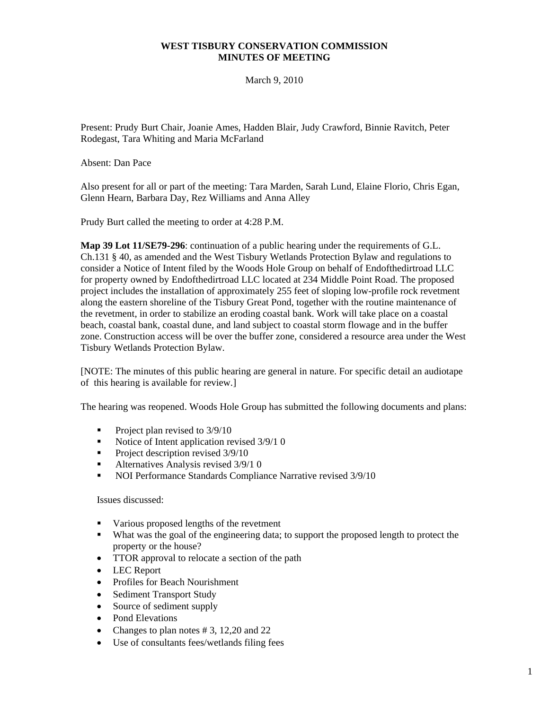### **WEST TISBURY CONSERVATION COMMISSION MINUTES OF MEETING**

March 9, 2010

Present: Prudy Burt Chair, Joanie Ames, Hadden Blair, Judy Crawford, Binnie Ravitch, Peter Rodegast, Tara Whiting and Maria McFarland

Absent: Dan Pace

Also present for all or part of the meeting: Tara Marden, Sarah Lund, Elaine Florio, Chris Egan, Glenn Hearn, Barbara Day, Rez Williams and Anna Alley

Prudy Burt called the meeting to order at 4:28 P.M.

**Map 39 Lot 11/SE79-296**: continuation of a public hearing under the requirements of G.L. Ch.131 § 40, as amended and the West Tisbury Wetlands Protection Bylaw and regulations to consider a Notice of Intent filed by the Woods Hole Group on behalf of Endofthedirtroad LLC for property owned by Endofthedirtroad LLC located at 234 Middle Point Road. The proposed project includes the installation of approximately 255 feet of sloping low-profile rock revetment along the eastern shoreline of the Tisbury Great Pond, together with the routine maintenance of the revetment, in order to stabilize an eroding coastal bank. Work will take place on a coastal beach, coastal bank, coastal dune, and land subject to coastal storm flowage and in the buffer zone. Construction access will be over the buffer zone, considered a resource area under the West Tisbury Wetlands Protection Bylaw.

[NOTE: The minutes of this public hearing are general in nature. For specific detail an audiotape of this hearing is available for review.]

The hearing was reopened. Woods Hole Group has submitted the following documents and plans:

- Project plan revised to  $3/9/10$
- Notice of Intent application revised  $3/9/10$
- Project description revised  $3/9/10$
- Alternatives Analysis revised  $3/9/10$
- NOI Performance Standards Compliance Narrative revised  $3/9/10$

#### Issues discussed:

- Various proposed lengths of the revetment
- What was the goal of the engineering data; to support the proposed length to protect the property or the house?
- TTOR approval to relocate a section of the path
- LEC Report
- Profiles for Beach Nourishment
- Sediment Transport Study
- Source of sediment supply
- Pond Elevations
- Changes to plan notes #3, 12,20 and 22
- Use of consultants fees/wetlands filing fees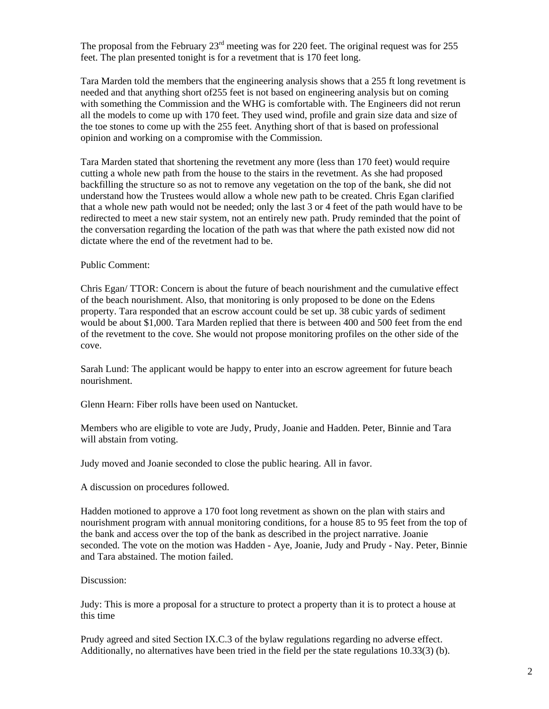The proposal from the February 23<sup>rd</sup> meeting was for 220 feet. The original request was for 255 feet. The plan presented tonight is for a revetment that is 170 feet long.

Tara Marden told the members that the engineering analysis shows that a 255 ft long revetment is needed and that anything short of255 feet is not based on engineering analysis but on coming with something the Commission and the WHG is comfortable with. The Engineers did not rerun all the models to come up with 170 feet. They used wind, profile and grain size data and size of the toe stones to come up with the 255 feet. Anything short of that is based on professional opinion and working on a compromise with the Commission.

Tara Marden stated that shortening the revetment any more (less than 170 feet) would require cutting a whole new path from the house to the stairs in the revetment. As she had proposed backfilling the structure so as not to remove any vegetation on the top of the bank, she did not understand how the Trustees would allow a whole new path to be created. Chris Egan clarified that a whole new path would not be needed; only the last 3 or 4 feet of the path would have to be redirected to meet a new stair system, not an entirely new path. Prudy reminded that the point of the conversation regarding the location of the path was that where the path existed now did not dictate where the end of the revetment had to be.

### Public Comment:

Chris Egan/ TTOR: Concern is about the future of beach nourishment and the cumulative effect of the beach nourishment. Also, that monitoring is only proposed to be done on the Edens property. Tara responded that an escrow account could be set up. 38 cubic yards of sediment would be about \$1,000. Tara Marden replied that there is between 400 and 500 feet from the end of the revetment to the cove. She would not propose monitoring profiles on the other side of the cove.

Sarah Lund: The applicant would be happy to enter into an escrow agreement for future beach nourishment.

Glenn Hearn: Fiber rolls have been used on Nantucket.

Members who are eligible to vote are Judy, Prudy, Joanie and Hadden. Peter, Binnie and Tara will abstain from voting.

Judy moved and Joanie seconded to close the public hearing. All in favor.

A discussion on procedures followed.

Hadden motioned to approve a 170 foot long revetment as shown on the plan with stairs and nourishment program with annual monitoring conditions, for a house 85 to 95 feet from the top of the bank and access over the top of the bank as described in the project narrative. Joanie seconded. The vote on the motion was Hadden - Aye, Joanie, Judy and Prudy - Nay. Peter, Binnie and Tara abstained. The motion failed.

#### Discussion:

Judy: This is more a proposal for a structure to protect a property than it is to protect a house at this time

Prudy agreed and sited Section IX.C.3 of the bylaw regulations regarding no adverse effect. Additionally, no alternatives have been tried in the field per the state regulations 10.33(3) (b).